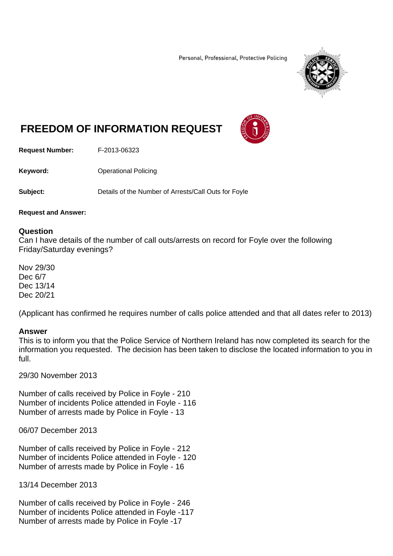Personal, Professional, Protective Policing



# **FREEDOM OF INFORMATION REQUEST**



**Request Number:** F-2013-06323

**Keyword: C**Derational Policing

**Subject:** Details of the Number of Arrests/Call Outs for Foyle

### **Request and Answer:**

## **Question**

Can I have details of the number of call outs/arrests on record for Foyle over the following Friday/Saturday evenings?

Nov 29/30 Dec 6/7 Dec 13/14 Dec 20/21

(Applicant has confirmed he requires number of calls police attended and that all dates refer to 2013)

## **Answer**

This is to inform you that the Police Service of Northern Ireland has now completed its search for the information you requested. The decision has been taken to disclose the located information to you in full.

29/30 November 2013

Number of calls received by Police in Foyle - 210 Number of incidents Police attended in Foyle - 116 Number of arrests made by Police in Foyle - 13

06/07 December 2013

Number of calls received by Police in Foyle - 212 Number of incidents Police attended in Foyle - 120 Number of arrests made by Police in Foyle - 16

13/14 December 2013

Number of calls received by Police in Foyle - 246 Number of incidents Police attended in Foyle -117 Number of arrests made by Police in Foyle -17